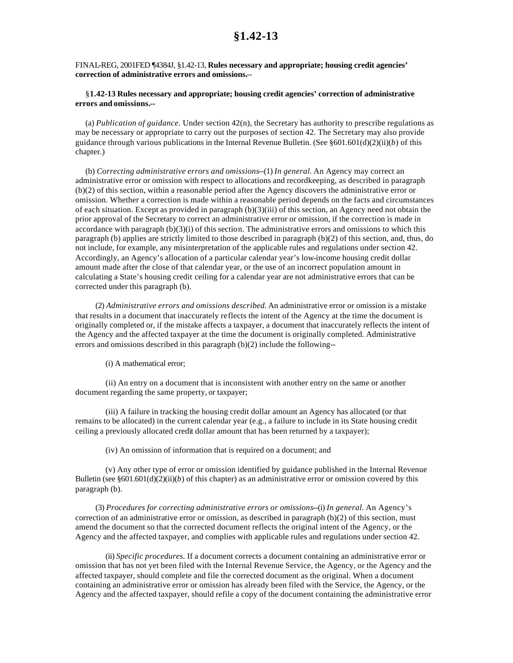FINAL-REG, 2001FED ¶4384J, §1.42-13, **Rules necessary and appropriate; housing credit agencies' correction of administrative errors and omissions.**--

## §**1.42-13 Rules necessary and appropriate; housing credit agencies' correction of administrative errors and omissions.--**

(a) *Publication of guidance.* Under section 42(n), the Secretary has authority to prescribe regulations as may be necessary or appropriate to carry out the purposes of section 42. The Secretary may also provide guidance through various publications in the Internal Revenue Bulletin. (See  $\S601.601(d)(2)(ii)(b)$  of this chapter.)

(b) *Correcting administrative errors and omissions*--(1) *In general.* An Agency may correct an administrative error or omission with respect to allocations and recordkeeping, as described in paragraph (b)(2) of this section, within a reasonable period after the Agency discovers the administrative error or omission. Whether a correction is made within a reasonable period depends on the facts and circumstances of each situation. Except as provided in paragraph (b)(3)(iii) of this section, an Agency need not obtain the prior approval of the Secretary to correct an administrative error or omission, if the correction is made in accordance with paragraph (b)(3)(i) of this section. The administrative errors and omissions to which this paragraph (b) applies are strictly limited to those described in paragraph (b)(2) of this section, and, thus, do not include, for example, any misinterpretation of the applicable rules and regulations under section 42. Accordingly, an Agency's allocation of a particular calendar year's low-income housing credit dollar amount made after the close of that calendar year, or the use of an incorrect population amount in calculating a State's housing credit ceiling for a calendar year are not administrative errors that can be corrected under this paragraph (b).

(2) *Administrative errors and omissions described.* An administrative error or omission is a mistake that results in a document that inaccurately reflects the intent of the Agency at the time the document is originally completed or, if the mistake affects a taxpayer, a document that inaccurately reflects the intent of the Agency and the affected taxpayer at the time the document is originally completed. Administrative errors and omissions described in this paragraph (b)(2) include the following--

(i) A mathematical error;

(ii) An entry on a document that is inconsistent with another entry on the same or another document regarding the same property, or taxpayer;

(iii) A failure in tracking the housing credit dollar amount an Agency has allocated (or that remains to be allocated) in the current calendar year (e.g., a failure to include in its State housing credit ceiling a previously allocated credit dollar amount that has been returned by a taxpayer);

(iv) An omission of information that is required on a document; and

(v) Any other type of error or omission identified by guidance published in the Internal Revenue Bulletin (see  $\S601.601(d)(2)(ii)(b)$  of this chapter) as an administrative error or omission covered by this paragraph (b).

(3) *Procedures for correcting administrative errors or omissions*--(i) *In general.* An Agency's correction of an administrative error or omission, as described in paragraph (b)(2) of this section, must amend the document so that the corrected document reflects the original intent of the Agency, or the Agency and the affected taxpayer, and complies with applicable rules and regulations under section 42.

(ii) *Specific procedures.* If a document corrects a document containing an administrative error or omission that has not yet been filed with the Internal Revenue Service, the Agency, or the Agency and the affected taxpayer, should complete and file the corrected document as the original. When a document containing an administrative error or omission has already been filed with the Service, the Agency, or the Agency and the affected taxpayer, should refile a copy of the document containing the administrative error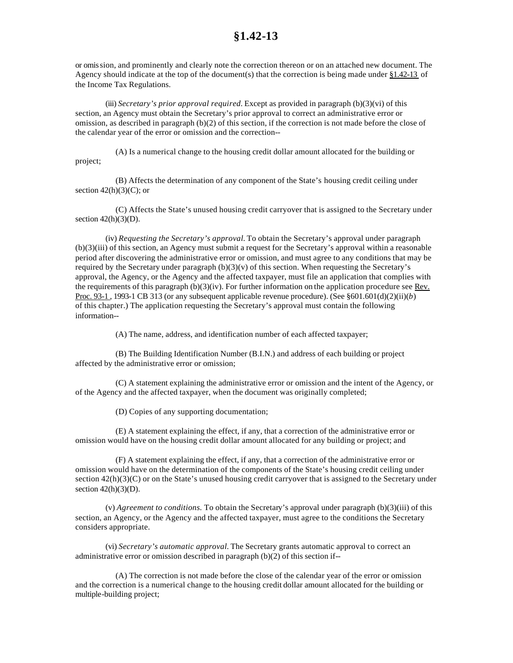## **§1.42-13**

or omission, and prominently and clearly note the correction thereon or on an attached new document. The Agency should indicate at the top of the document(s) that the correction is being made under §1.42-13 of the Income Tax Regulations.

(iii) *Secretary's prior approval required.* Except as provided in paragraph (b)(3)(vi) of this section, an Agency must obtain the Secretary's prior approval to correct an administrative error or omission, as described in paragraph (b)(2) of this section, if the correction is not made before the close of the calendar year of the error or omission and the correction--

(A) Is a numerical change to the housing credit dollar amount allocated for the building or project;

(B) Affects the determination of any component of the State's housing credit ceiling under section  $42(h)(3)(C)$ ; or

(C) Affects the State's unused housing credit carryover that is assigned to the Secretary under section  $42(h)(3)(D)$ .

(iv) *Requesting the Secretary's approval.* To obtain the Secretary's approval under paragraph (b)(3)(iii) of this section, an Agency must submit a request for the Secretary's approval within a reasonable period after discovering the administrative error or omission, and must agree to any conditions that may be required by the Secretary under paragraph  $(b)(3)(v)$  of this section. When requesting the Secretary's approval, the Agency, or the Agency and the affected taxpayer, must file an application that complies with the requirements of this paragraph (b)(3)(iv). For further information on the application procedure see Rev. Proc. 93-1 , 1993-1 CB 313 (or any subsequent applicable revenue procedure). (See §601.601(d)(2)(ii)(*b*) of this chapter.) The application requesting the Secretary's approval must contain the following information--

(A) The name, address, and identification number of each affected taxpayer;

(B) The Building Identification Number (B.I.N.) and address of each building or project affected by the administrative error or omission;

(C) A statement explaining the administrative error or omission and the intent of the Agency, or of the Agency and the affected taxpayer, when the document was originally completed;

(D) Copies of any supporting documentation;

(E) A statement explaining the effect, if any, that a correction of the administrative error or omission would have on the housing credit dollar amount allocated for any building or project; and

(F) A statement explaining the effect, if any, that a correction of the administrative error or omission would have on the determination of the components of the State's housing credit ceiling under section 42(h)(3)(C) or on the State's unused housing credit carryover that is assigned to the Secretary under section  $42(h)(3)(D)$ .

(v) *Agreement to conditions.* To obtain the Secretary's approval under paragraph (b)(3)(iii) of this section, an Agency, or the Agency and the affected taxpayer, must agree to the conditions the Secretary considers appropriate.

(vi) *Secretary's automatic approval.* The Secretary grants automatic approval to correct an administrative error or omission described in paragraph (b)(2) of this section if--

(A) The correction is not made before the close of the calendar year of the error or omission and the correction is a numerical change to the housing credit dollar amount allocated for the building or multiple-building project;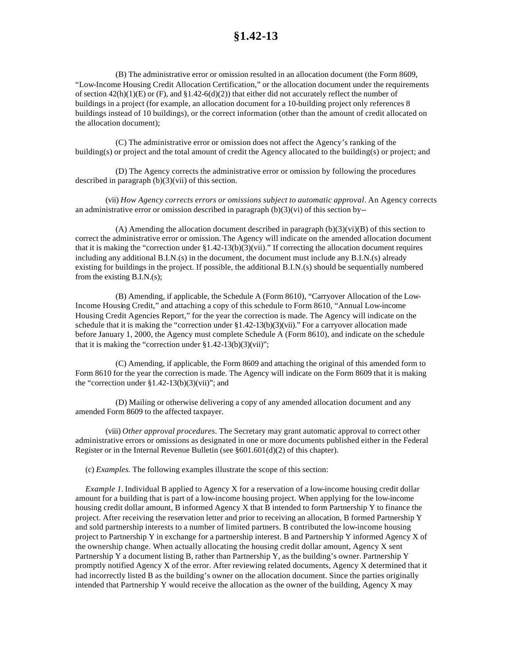(B) The administrative error or omission resulted in an allocation document (the Form 8609, "Low-Income Housing Credit Allocation Certification," or the allocation document under the requirements of section  $42(h)(1)(E)$  or (F), and  $\S1.42-6(d)(2)$ ) that either did not accurately reflect the number of buildings in a project (for example, an allocation document for a 10-building project only references 8 buildings instead of 10 buildings), or the correct information (other than the amount of credit allocated on the allocation document);

(C) The administrative error or omission does not affect the Agency's ranking of the building(s) or project and the total amount of credit the Agency allocated to the building(s) or project; and

(D) The Agency corrects the administrative error or omission by following the procedures described in paragraph (b)(3)(vii) of this section.

(vii) *How Agency corrects errors or omissions subject to automatic approval.* An Agency corrects an administrative error or omission described in paragraph  $(b)(3)(vi)$  of this section by--

(A) Amending the allocation document described in paragraph  $(b)(3)(vi)(B)$  of this section to correct the administrative error or omission. The Agency will indicate on the amended allocation document that it is making the "correction under §1.42-13(b)(3)(vii)." If correcting the allocation document requires including any additional B.I.N.(s) in the document, the document must include any B.I.N.(s) already existing for buildings in the project. If possible, the additional B.I.N.(s) should be sequentially numbered from the existing B.I.N.(s);

(B) Amending, if applicable, the Schedule A (Form 8610), "Carryover Allocation of the Low-Income Housing Credit," and attaching a copy of this schedule to Form 8610, "Annual Low-income Housing Credit Agencies Report," for the year the correction is made. The Agency will indicate on the schedule that it is making the "correction under  $(1.42-13(b)(3)(vii))$ ." For a carryover allocation made before January 1, 2000, the Agency must complete Schedule A (Form 8610), and indicate on the schedule that it is making the "correction under  $$1.42-13(b)(3)(vii)$ ";

(C) Amending, if applicable, the Form 8609 and attaching the original of this amended form to Form 8610 for the year the correction is made. The Agency will indicate on the Form 8609 that it is making the "correction under  $$1.42-13(b)(3)(vii)$ "; and

(D) Mailing or otherwise delivering a copy of any amended allocation document and any amended Form 8609 to the affected taxpayer.

(viii) *Other approval procedures.* The Secretary may grant automatic approval to correct other administrative errors or omissions as designated in one or more documents published either in the Federal Register or in the Internal Revenue Bulletin (see §601.601(d)(2) of this chapter).

(c) *Examples.* The following examples illustrate the scope of this section:

*Example 1.* Individual B applied to Agency X for a reservation of a low-income housing credit dollar amount for a building that is part of a low-income housing project. When applying for the low-income housing credit dollar amount, B informed Agency X that B intended to form Partnership Y to finance the project. After receiving the reservation letter and prior to receiving an allocation, B formed Partnership Y and sold partnership interests to a number of limited partners. B contributed the low-income housing project to Partnership Y in exchange for a partnership interest. B and Partnership Y informed Agency X of the ownership change. When actually allocating the housing credit dollar amount, Agency X sent Partnership Y a document listing B, rather than Partnership Y, as the building's owner. Partnership Y promptly notified Agency X of the error. After reviewing related documents, Agency X determined that it had incorrectly listed B as the building's owner on the allocation document. Since the parties originally intended that Partnership Y would receive the allocation as the owner of the building, Agency X may